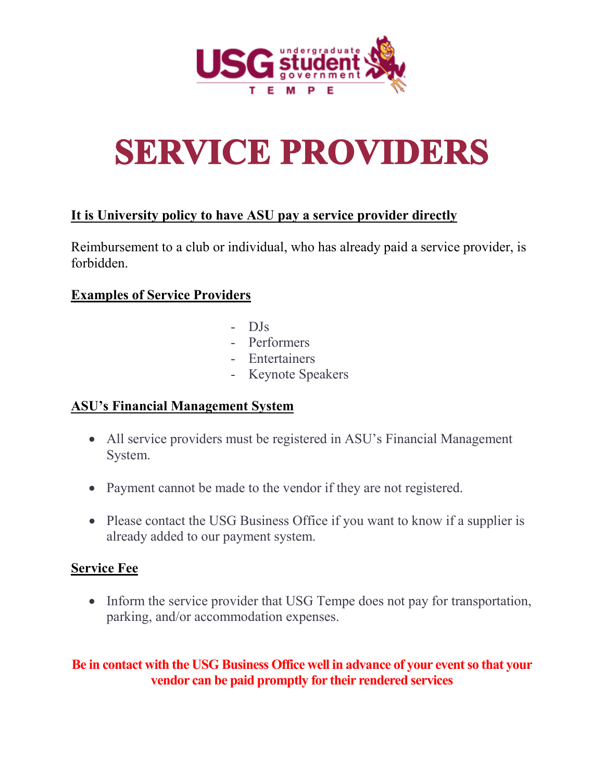

# **SERVICE PROVIDERS**

# **It is University policy to have ASU pay a service provider directly**

Reimbursement to a club or individual, who has already paid a service provider, is forbidden.

# **Examples of Service Providers**

- DJs
- Performers
- Entertainers
- Keynote Speakers

# **ASU's Financial Management System**

- All service providers must be registered in ASU's Financial Management System.
- Payment cannot be made to the vendor if they are not registered.
- Please contact the USG Business Office if you want to know if a supplier is already added to our payment system.

#### **Service Fee**

• Inform the service provider that USG Tempe does not pay for transportation, parking, and/or accommodation expenses.

# **Be in contact with the USG Business Office well in advance of your event so that your vendor can be paid promptly for their rendered services**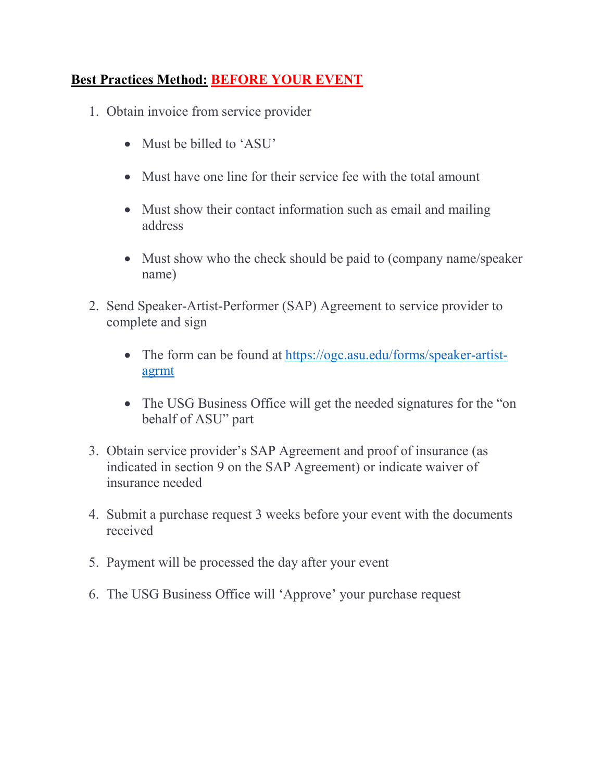# **Best Practices Method: BEFORE YOUR EVENT**

- 1. Obtain invoice from service provider
	- Must be billed to 'ASU'
	- Must have one line for their service fee with the total amount
	- Must show their contact information such as email and mailing address
	- Must show who the check should be paid to (company name/speaker) name)
- 2. Send Speaker-Artist-Performer (SAP) Agreement to service provider to complete and sign
	- The form can be found at [https://ogc.asu.edu/forms/speaker-artist](https://ogc.asu.edu/forms/speaker-artist-agrmt)[agrmt](https://ogc.asu.edu/forms/speaker-artist-agrmt)
	- The USG Business Office will get the needed signatures for the "on" behalf of ASU" part
- 3. Obtain service provider's SAP Agreement and proof of insurance (as indicated in section 9 on the SAP Agreement) or indicate waiver of insurance needed
- 4. Submit a purchase request 3 weeks before your event with the documents received
- 5. Payment will be processed the day after your event
- 6. The USG Business Office will 'Approve' your purchase request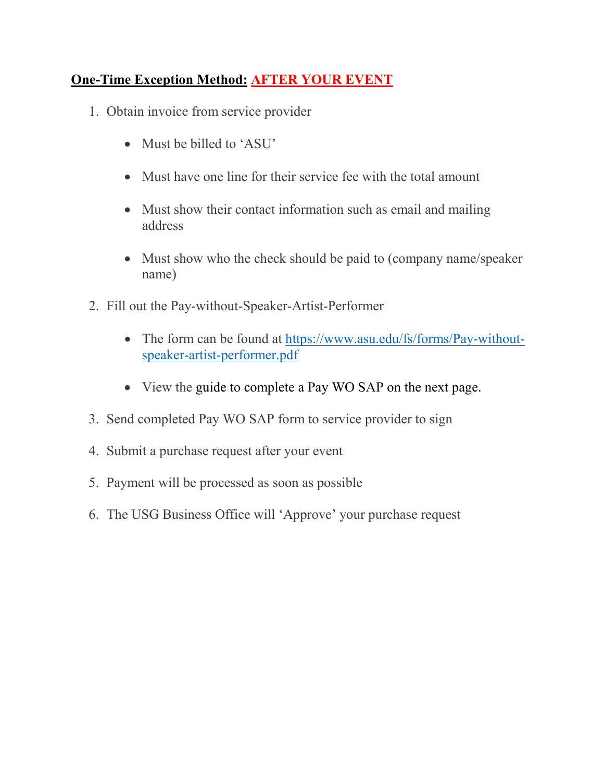# **One-Time Exception Method: AFTER YOUR EVENT**

- 1. Obtain invoice from service provider
	- Must be billed to 'ASU'
	- Must have one line for their service fee with the total amount
	- Must show their contact information such as email and mailing address
	- Must show who the check should be paid to (company name/speaker) name)
- 2. Fill out the Pay-without-Speaker-Artist-Performer
	- The form can be found at [https://www.asu.edu/fs/forms/Pay-without](https://www.asu.edu/fs/forms/Pay-without-speaker-artist-performer.pdf)[speaker-artist-performer.pdf](https://www.asu.edu/fs/forms/Pay-without-speaker-artist-performer.pdf)
	- View the guide to complete a Pay WO SAP on the next page.
- 3. Send completed Pay WO SAP form to service provider to sign
- 4. Submit a purchase request after your event
- 5. Payment will be processed as soon as possible
- 6. The USG Business Office will 'Approve' your purchase request